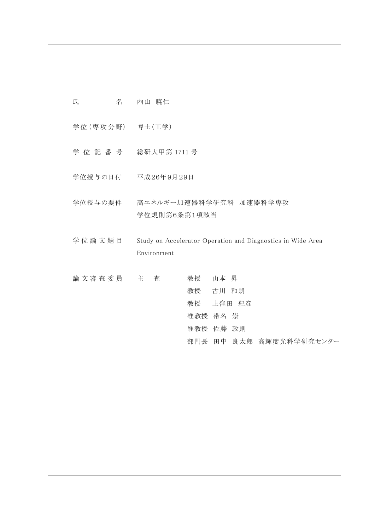| 氏               | 名 内山 暁仁                                                                                  |
|-----------------|------------------------------------------------------------------------------------------|
| 学位(専攻分野) 博士(工学) |                                                                                          |
|                 | 学位記番号 総研大甲第1711号                                                                         |
|                 | 学位授与の日付 平成26年9月29日                                                                       |
|                 | 学位授与の要件 高エネルギー加速器科学研究科 加速器科学専攻<br>学位規則第6条第1項該当                                           |
| 学位論文題目          | Study on Accelerator Operation and Diagnostics in Wide Area<br>Environment               |
| 論 文 審 査 委 員 主   | 査<br>教授 山本 昇<br>教授 古川 和朗<br>教授 上窪田 紀彦<br>准教授 帯名 崇<br>准教授 佐藤 政則<br>部門長 田中 良太郎 高輝度光科学研究センタ |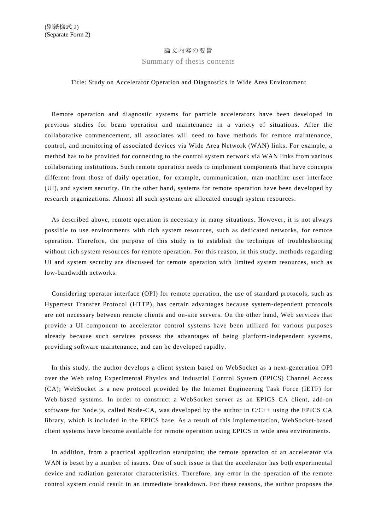## 論文内容の要旨

Summary of thesis contents

## Title: Study on Accelerator Operation and Diagnostics in Wide Area Environment

Remote operation and diagnostic systems for particle accelerators have been developed in previous studies for beam operation and maintenance in a variety of situations. After the collaborative commencement, all associates will need to have methods for remote maintenance, control, and monitoring of associated devices via Wide Area Network (WAN) links. For example, a method has to be provided for connecting to the control system network via WAN links from various collaborating institutions. Such remote operation needs to implement components that have concepts different from those of daily operation, for example, communication, man-machine user interface (UI), and system security. On the other hand, systems for remote operation have been developed by research organizations. Almost all such systems are allocated enough system resources.

As described above, remote operation is necessary in many situations. However, it is not always possible to use environments with rich system resources, such as dedicated networks, for remote operation. Therefore, the purpose of this study is to establish the technique of troubleshooting without rich system resources for remote operation. For this reason, in this study, methods regarding UI and system security are discussed for remote operation with limited system resources, such as low-bandwidth networks.

Considering operator interface (OPI) for remote operation, the use of standard protocols, such as Hypertext Transfer Protocol (HTTP), has certain advantages because system-dependent protocols are not necessary between remote clients and on-site servers. On the other hand, Web services that provide a UI component to accelerator control systems have been utilized for various purposes already because such services possess the advantages of being platform-independent systems, providing software maintenance, and can be developed rapidly.

In this study, the author develops a client system based on WebSocket as a next-generation OPI over the Web using Experimental Physics and Industrial Control System (EPICS) Channel Access (CA); WebSocket is a new protocol provided by the Internet Engineering Task Force (IETF) for Web-based systems. In order to construct a WebSocket server as an EPICS CA client, add-on software for Node.js, called Node-CA, was developed by the author in C/C++ using the EPICS CA library, which is included in the EPICS base. As a result of this implementation, WebSocket-based client systems have become available for remote operation using EPICS in wide area environments.

In addition, from a practical application standpoint; the remote operation of an accelerator via WAN is beset by a number of issues. One of such issue is that the accelerator has both experimental device and radiation generator characteristics. Therefore, any error in the operation of the remote control system could result in an immediate breakdown. For these reasons, the author proposes the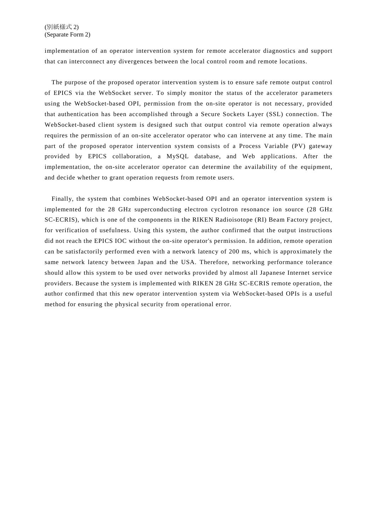implementation of an operator intervention system for remote accelerator diagnostics and support that can interconnect any divergences between the local control room and remote locations.

The purpose of the proposed operator intervention system is to ensure safe remote output control of EPICS via the WebSocket server. To simply monitor the status of the accelerator parameters using the WebSocket-based OPI, permission from the on-site operator is not necessary, provided that authentication has been accomplished through a Secure Sockets Layer (SSL) connection. The WebSocket-based client system is designed such that output control via remote operation always requires the permission of an on-site accelerator operator who can intervene at any time. The main part of the proposed operator intervention system consists of a Process Variable (PV) gateway provided by EPICS collaboration, a MySQL database, and Web applications. After the implementation, the on-site accelerator operator can determine the availability of the equipment, and decide whether to grant operation requests from remote users.

Finally, the system that combines WebSocket-based OPI and an operator intervention system is implemented for the 28 GHz superconducting electron cyclotron resonance ion source (28 GHz SC-ECRIS), which is one of the components in the RIKEN Radioisotope (RI) Beam Factory project, for verification of usefulness. Using this system, the author confirmed that the output instructions did not reach the EPICS IOC without the on-site operator's permission. In addition, remote operation can be satisfactorily performed even with a network latency of 200 ms, which is approximately the same network latency between Japan and the USA. Therefore, networking performance tolerance should allow this system to be used over networks provided by almost all Japanese Internet service providers. Because the system is implemented with RIKEN 28 GHz SC-ECRIS remote operation, the author confirmed that this new operator intervention system via WebSocket-based OPIs is a useful method for ensuring the physical security from operational error.